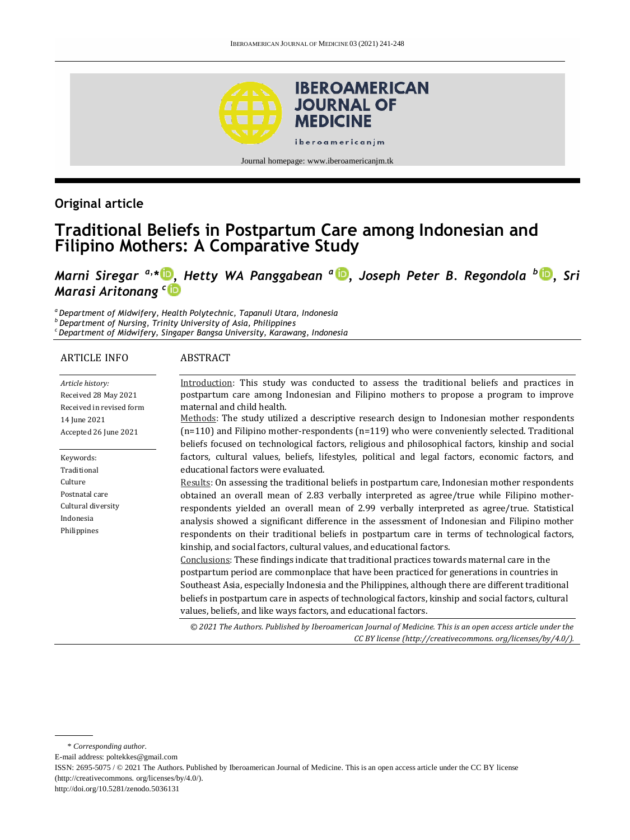

# **Original article**

# **Traditional Beliefs in Postpartum Care among Indonesian and Filipino Mothers: A Comparative Study**

*Marni Siregar a,\* [,](http://orcid.org/0000-0003-2854-9137) Hetty WA Panggabean <sup>a</sup> [,](http://orcid.org/0000-0002-8378-5346) Joseph Peter B. Regondola <sup>b</sup> [,](http://orcid.org/0000-0002-3437-8007) Sri Marasi Aritonang <sup>c</sup>*

*<sup>a</sup>Department of Midwifery, Health Polytechnic, Tapanuli Utara, Indonesia <sup>b</sup> Department of Nursing, Trinity University of Asia, Philippines*

*<sup>c</sup> Department of Midwifery, Singaper Bangsa University, Karawang, Indonesia*

#### ARTICLE INFO

#### ABSTRACT

| Article history:         | Introduction: This study was conducted to assess the traditional beliefs and practices in                    |
|--------------------------|--------------------------------------------------------------------------------------------------------------|
| Received 28 May 2021     | postpartum care among Indonesian and Filipino mothers to propose a program to improve                        |
| Received in revised form | maternal and child health.                                                                                   |
| 14 June 2021             | Methods: The study utilized a descriptive research design to Indonesian mother respondents                   |
| Accepted 26 June 2021    | $(n=110)$ and Filipino mother-respondents $(n=119)$ who were conveniently selected. Traditional              |
|                          | beliefs focused on technological factors, religious and philosophical factors, kinship and social            |
| Keywords:                | factors, cultural values, beliefs, lifestyles, political and legal factors, economic factors, and            |
| Traditional              | educational factors were evaluated.                                                                          |
| Culture                  | Results: On assessing the traditional beliefs in postpartum care, Indonesian mother respondents              |
| Postnatal care           | obtained an overall mean of 2.83 verbally interpreted as agree/true while Filipino mother-                   |
| Cultural diversity       | respondents yielded an overall mean of 2.99 verbally interpreted as agree/true. Statistical                  |
| Indonesia                | analysis showed a significant difference in the assessment of Indonesian and Filipino mother                 |
| Philippines              | respondents on their traditional beliefs in postpartum care in terms of technological factors,               |
|                          | kinship, and social factors, cultural values, and educational factors.                                       |
|                          | Conclusions: These findings indicate that traditional practices towards maternal care in the                 |
|                          | postpartum period are commonplace that have been practiced for generations in countries in                   |
|                          | Southeast Asia, especially Indonesia and the Philippines, although there are different traditional           |
|                          | beliefs in postpartum care in aspects of technological factors, kinship and social factors, cultural         |
|                          | values, beliefs, and like ways factors, and educational factors.                                             |
|                          | © 2021 The Authors. Published by Iberoamerican Journal of Medicine. This is an open access article under the |
|                          | CC BY license (http://creativecommons.org/licenses/by/4.0/).                                                 |

\* *Corresponding author.* E-mail address: poltekkes@gmail.com ISSN: 2695-5075 / © 2021 The Authors. Published by Iberoamerican Journal of Medicine. This is an open access article under the CC BY license (http://creativecommons. org/licenses/by/4.0/). http://doi.org/10.5281/zenodo.5036131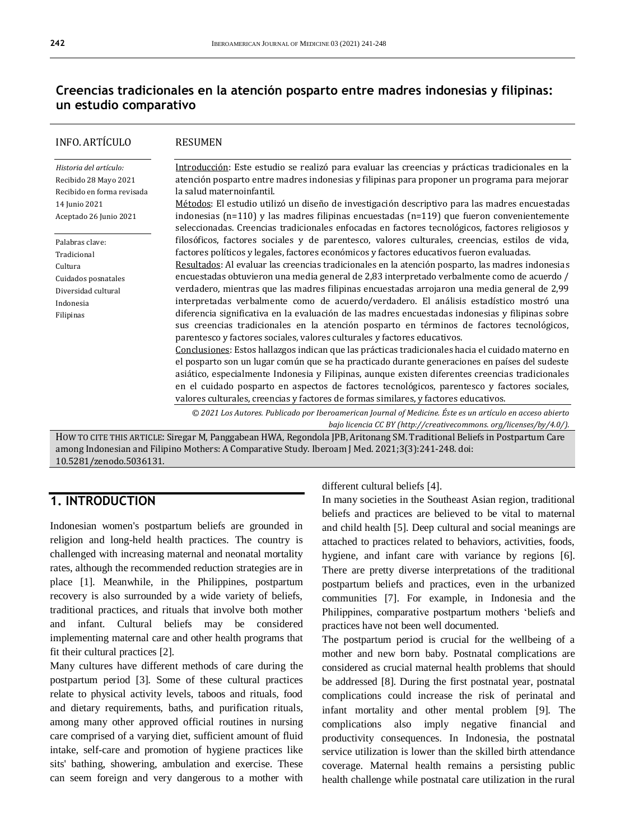# **Creencias tradicionales en la atención posparto entre madres indonesias y filipinas: un estudio comparativo**

| <b>INFO. ARTÍCULO</b>                                                                                             | <b>RESUMEN</b>                                                                                                                                                                                                                                                                                                                                                                                                                                                                                                                                                                                                                                                                                                                                                                                                                                                                                                                                                                 |
|-------------------------------------------------------------------------------------------------------------------|--------------------------------------------------------------------------------------------------------------------------------------------------------------------------------------------------------------------------------------------------------------------------------------------------------------------------------------------------------------------------------------------------------------------------------------------------------------------------------------------------------------------------------------------------------------------------------------------------------------------------------------------------------------------------------------------------------------------------------------------------------------------------------------------------------------------------------------------------------------------------------------------------------------------------------------------------------------------------------|
| Historia del artículo:<br>Recibido 28 Mayo 2021<br>Recibido en forma revisada<br>14 Junio 2021                    | Introducción: Este estudio se realizó para evaluar las creencias y prácticas tradicionales en la<br>atención posparto entre madres indonesias y filipinas para proponer un programa para mejorar<br>la salud maternoinfantil.<br>Métodos: El estudio utilizó un diseño de investigación descriptivo para las madres encuestadas                                                                                                                                                                                                                                                                                                                                                                                                                                                                                                                                                                                                                                                |
| Aceptado 26 Junio 2021                                                                                            | indonesias $(n=110)$ y las madres filipinas encuestadas $(n=119)$ que fueron convenientemente<br>seleccionadas. Creencias tradicionales enfocadas en factores tecnológicos, factores religiosos y                                                                                                                                                                                                                                                                                                                                                                                                                                                                                                                                                                                                                                                                                                                                                                              |
| Palabras clave:<br>Tradicional<br>Cultura<br>Cuidados posnatales<br>Diversidad cultural<br>Indonesia<br>Filipinas | filosóficos, factores sociales y de parentesco, valores culturales, creencias, estilos de vida,<br>factores políticos y legales, factores económicos y factores educativos fueron evaluadas.<br>Resultados: Al evaluar las creencias tradicionales en la atención posparto, las madres indonesias<br>encuestadas obtuvieron una media general de 2,83 interpretado verbalmente como de acuerdo /<br>verdadero, mientras que las madres filipinas encuestadas arrojaron una media general de 2,99<br>interpretadas verbalmente como de acuerdo/verdadero. El análisis estadístico mostró una<br>diferencia significativa en la evaluación de las madres encuestadas indonesias y filipinas sobre<br>sus creencias tradicionales en la atención posparto en términos de factores tecnológicos,<br>parentesco y factores sociales, valores culturales y factores educativos.<br>Conclusiones: Estos hallazgos indican que las prácticas tradicionales hacia el cuidado materno en |
|                                                                                                                   | el posparto son un lugar común que se ha practicado durante generaciones en países del sudeste<br>asiático, especialmente Indonesia y Filipinas, aunque existen diferentes creencias tradicionales<br>en el cuidado posparto en aspectos de factores tecnológicos, parentesco y factores sociales,<br>valores culturales, creencias y factores de formas similares, y factores educativos.                                                                                                                                                                                                                                                                                                                                                                                                                                                                                                                                                                                     |
|                                                                                                                   | © 2021 Los Autores. Publicado por Iberoamerican Journal of Medicine. Éste es un artículo en acceso abierto<br>bajo licencia CC BY (http://creativecommons. org/licenses/by/4.0/).                                                                                                                                                                                                                                                                                                                                                                                                                                                                                                                                                                                                                                                                                                                                                                                              |

HOW TO CITE THIS ARTICLE: Siregar M, Panggabean HWA, Regondola JPB, Aritonang SM. Traditional Beliefs in Postpartum Care among Indonesian and Filipino Mothers: A Comparative Study. Iberoam J Med. 2021;3(3):241-248. doi: [10.5281/zenodo.5036131.](http://doi.org/10.5281/zenodo.5036131)

# **1. INTRODUCTION**

Indonesian women's postpartum beliefs are grounded in religion and long-held health practices. The country is challenged with increasing maternal and neonatal mortality rates, although the recommended reduction strategies are in place [1]. Meanwhile, in the Philippines, postpartum recovery is also surrounded by a wide variety of beliefs, traditional practices, and rituals that involve both mother and infant. Cultural beliefs may be considered implementing maternal care and other health programs that fit their cultural practices [2].

Many cultures have different methods of care during the postpartum period [3]. Some of these cultural practices relate to physical activity levels, taboos and rituals, food and dietary requirements, baths, and purification rituals, among many other approved official routines in nursing care comprised of a varying diet, sufficient amount of fluid intake, self-care and promotion of hygiene practices like sits' bathing, showering, ambulation and exercise. These can seem foreign and very dangerous to a mother with

different cultural beliefs [4].

In many societies in the Southeast Asian region, traditional beliefs and practices are believed to be vital to maternal and child health [5]. Deep cultural and social meanings are attached to practices related to behaviors, activities, foods, hygiene, and infant care with variance by regions [6]. There are pretty diverse interpretations of the traditional postpartum beliefs and practices, even in the urbanized communities [7]. For example, in Indonesia and the Philippines, comparative postpartum mothers 'beliefs and practices have not been well documented.

The postpartum period is crucial for the wellbeing of a mother and new born baby. Postnatal complications are considered as crucial maternal health problems that should be addressed [8]. During the first postnatal year, postnatal complications could increase the risk of perinatal and infant mortality and other mental problem [9]. The complications also imply negative financial and productivity consequences. In Indonesia, the postnatal service utilization is lower than the skilled birth attendance coverage. Maternal health remains a persisting public health challenge while postnatal care utilization in the rural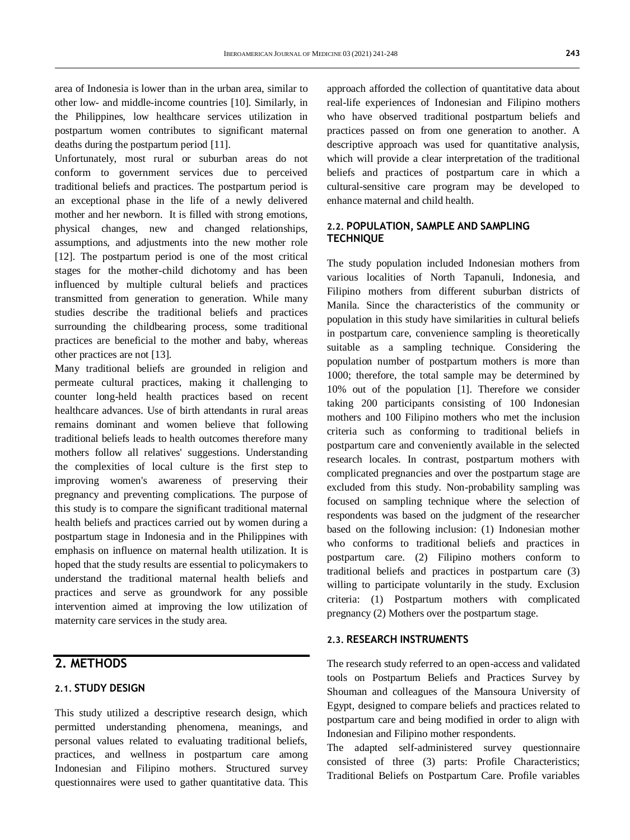area of Indonesia is lower than in the urban area, similar to other low- and middle-income countries [10]. Similarly, in the Philippines, low healthcare services utilization in postpartum women contributes to significant maternal deaths during the postpartum period [11].

Unfortunately, most rural or suburban areas do not conform to government services due to perceived traditional beliefs and practices. The postpartum period is an exceptional phase in the life of a newly delivered mother and her newborn. It is filled with strong emotions, physical changes, new and changed relationships, assumptions, and adjustments into the new mother role [12]. The postpartum period is one of the most critical stages for the mother-child dichotomy and has been influenced by multiple cultural beliefs and practices transmitted from generation to generation. While many studies describe the traditional beliefs and practices surrounding the childbearing process, some traditional practices are beneficial to the mother and baby, whereas other practices are not [13].

Many traditional beliefs are grounded in religion and permeate cultural practices, making it challenging to counter long-held health practices based on recent healthcare advances. Use of birth attendants in rural areas remains dominant and women believe that following traditional beliefs leads to health outcomes therefore many mothers follow all relatives' suggestions. Understanding the complexities of local culture is the first step to improving women's awareness of preserving their pregnancy and preventing complications. The purpose of this study is to compare the significant traditional maternal health beliefs and practices carried out by women during a postpartum stage in Indonesia and in the Philippines with emphasis on influence on maternal health utilization. It is hoped that the study results are essential to policymakers to understand the traditional maternal health beliefs and practices and serve as groundwork for any possible intervention aimed at improving the low utilization of maternity care services in the study area.

# **2. METHODS**

#### **2.1. STUDY DESIGN**

This study utilized a descriptive research design, which permitted understanding phenomena, meanings, and personal values related to evaluating traditional beliefs, practices, and wellness in postpartum care among Indonesian and Filipino mothers. Structured survey questionnaires were used to gather quantitative data. This approach afforded the collection of quantitative data about real-life experiences of Indonesian and Filipino mothers who have observed traditional postpartum beliefs and practices passed on from one generation to another. A descriptive approach was used for quantitative analysis, which will provide a clear interpretation of the traditional beliefs and practices of postpartum care in which a cultural-sensitive care program may be developed to enhance maternal and child health.

#### **2.2. POPULATION, SAMPLE AND SAMPLING TECHNIQUE**

The study population included Indonesian mothers from various localities of North Tapanuli, Indonesia, and Filipino mothers from different suburban districts of Manila. Since the characteristics of the community or population in this study have similarities in cultural beliefs in postpartum care, convenience sampling is theoretically suitable as a sampling technique. Considering the population number of postpartum mothers is more than 1000; therefore, the total sample may be determined by 10% out of the population [1]. Therefore we consider taking 200 participants consisting of 100 Indonesian mothers and 100 Filipino mothers who met the inclusion criteria such as conforming to traditional beliefs in postpartum care and conveniently available in the selected research locales. In contrast, postpartum mothers with complicated pregnancies and over the postpartum stage are excluded from this study. Non-probability sampling was focused on sampling technique where the selection of respondents was based on the judgment of the researcher based on the following inclusion: (1) Indonesian mother who conforms to traditional beliefs and practices in postpartum care. (2) Filipino mothers conform to traditional beliefs and practices in postpartum care (3) willing to participate voluntarily in the study. Exclusion criteria: (1) Postpartum mothers with complicated pregnancy (2) Mothers over the postpartum stage.

#### **2.3. RESEARCH INSTRUMENTS**

The research study referred to an open-access and validated tools on Postpartum Beliefs and Practices Survey by Shouman and colleagues of the Mansoura University of Egypt, designed to compare beliefs and practices related to postpartum care and being modified in order to align with Indonesian and Filipino mother respondents.

The adapted self-administered survey questionnaire consisted of three (3) parts: Profile Characteristics; Traditional Beliefs on Postpartum Care. Profile variables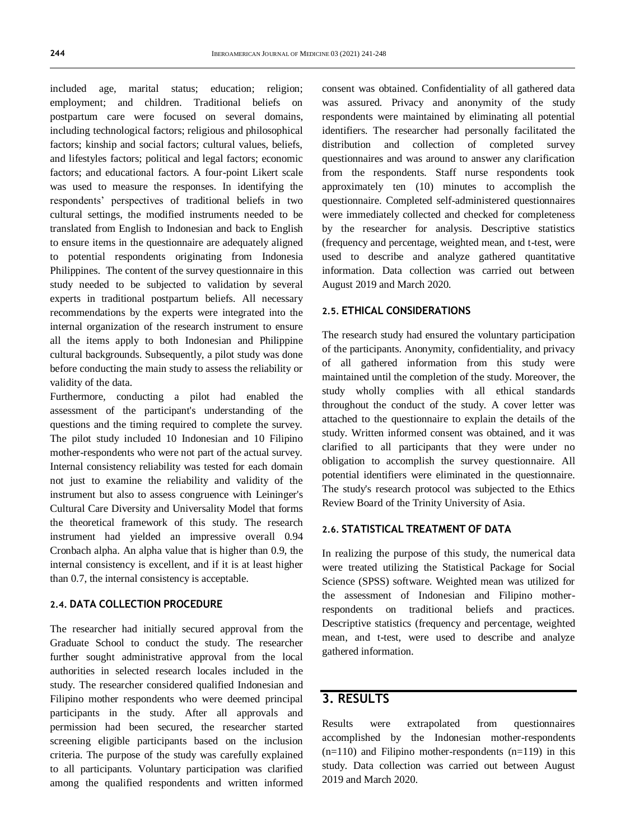included age, marital status; education; religion; employment; and children. Traditional beliefs on postpartum care were focused on several domains, including technological factors; religious and philosophical factors; kinship and social factors; cultural values, beliefs, and lifestyles factors; political and legal factors; economic factors; and educational factors. A four-point Likert scale was used to measure the responses. In identifying the respondents' perspectives of traditional beliefs in two cultural settings, the modified instruments needed to be translated from English to Indonesian and back to English to ensure items in the questionnaire are adequately aligned to potential respondents originating from Indonesia Philippines. The content of the survey questionnaire in this study needed to be subjected to validation by several experts in traditional postpartum beliefs. All necessary recommendations by the experts were integrated into the internal organization of the research instrument to ensure all the items apply to both Indonesian and Philippine cultural backgrounds. Subsequently, a pilot study was done before conducting the main study to assess the reliability or validity of the data.

Furthermore, conducting a pilot had enabled the assessment of the participant's understanding of the questions and the timing required to complete the survey. The pilot study included 10 Indonesian and 10 Filipino mother-respondents who were not part of the actual survey. Internal consistency reliability was tested for each domain not just to examine the reliability and validity of the instrument but also to assess congruence with Leininger's Cultural Care Diversity and Universality Model that forms the theoretical framework of this study. The research instrument had yielded an impressive overall 0.94 Cronbach alpha. An alpha value that is higher than 0.9, the internal consistency is excellent, and if it is at least higher than 0.7, the internal consistency is acceptable.

#### **2.4. DATA COLLECTION PROCEDURE**

The researcher had initially secured approval from the Graduate School to conduct the study. The researcher further sought administrative approval from the local authorities in selected research locales included in the study. The researcher considered qualified Indonesian and Filipino mother respondents who were deemed principal participants in the study. After all approvals and permission had been secured, the researcher started screening eligible participants based on the inclusion criteria. The purpose of the study was carefully explained to all participants. Voluntary participation was clarified among the qualified respondents and written informed consent was obtained. Confidentiality of all gathered data was assured. Privacy and anonymity of the study respondents were maintained by eliminating all potential identifiers. The researcher had personally facilitated the distribution and collection of completed survey questionnaires and was around to answer any clarification from the respondents. Staff nurse respondents took approximately ten (10) minutes to accomplish the questionnaire. Completed self-administered questionnaires were immediately collected and checked for completeness by the researcher for analysis. Descriptive statistics (frequency and percentage, weighted mean, and t-test, were used to describe and analyze gathered quantitative information. Data collection was carried out between August 2019 and March 2020.

#### **2.5. ETHICAL CONSIDERATIONS**

The research study had ensured the voluntary participation of the participants. Anonymity, confidentiality, and privacy of all gathered information from this study were maintained until the completion of the study. Moreover, the study wholly complies with all ethical standards throughout the conduct of the study. A cover letter was attached to the questionnaire to explain the details of the study. Written informed consent was obtained, and it was clarified to all participants that they were under no obligation to accomplish the survey questionnaire. All potential identifiers were eliminated in the questionnaire. The study's research protocol was subjected to the Ethics Review Board of the Trinity University of Asia.

#### **2.6. STATISTICAL TREATMENT OF DATA**

In realizing the purpose of this study, the numerical data were treated utilizing the Statistical Package for Social Science (SPSS) software. Weighted mean was utilized for the assessment of Indonesian and Filipino motherrespondents on traditional beliefs and practices. Descriptive statistics (frequency and percentage, weighted mean, and t-test, were used to describe and analyze gathered information.

### **3. RESULTS**

Results were extrapolated from questionnaires accomplished by the Indonesian mother-respondents  $(n=110)$  and Filipino mother-respondents  $(n=119)$  in this study. Data collection was carried out between August 2019 and March 2020.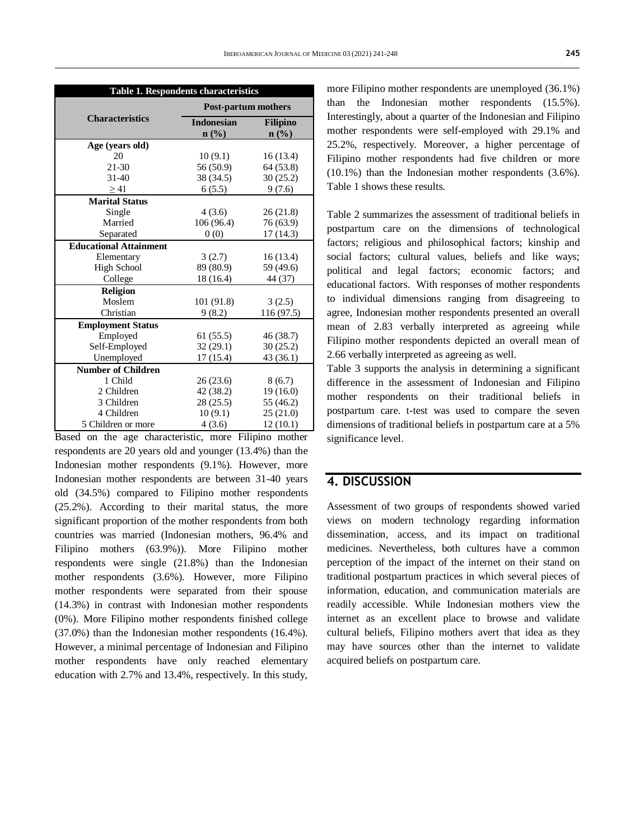| Table 1. Respondents characteristics |                            |                             |  |  |
|--------------------------------------|----------------------------|-----------------------------|--|--|
|                                      | <b>Post-partum mothers</b> |                             |  |  |
| <b>Characteristics</b>               | <b>Indonesian</b>          | <b>Filipino</b>             |  |  |
|                                      | n(%)                       | $n\left(\frac{0}{0}\right)$ |  |  |
| Age (years old)                      |                            |                             |  |  |
| 20                                   | 10(9.1)                    | 16(13.4)                    |  |  |
| 21-30                                | 56 (50.9)                  | 64 (53.8)                   |  |  |
| $31-40$                              | 38 (34.5)                  | 30(25.2)                    |  |  |
| > 41                                 | 6(5.5)                     | 9(7.6)                      |  |  |
| <b>Marital Status</b>                |                            |                             |  |  |
| Single                               | 4(3.6)                     | 26(21.8)                    |  |  |
| Married                              | 106 (96.4)                 | 76 (63.9)                   |  |  |
| Separated                            | 0(0)                       | 17 (14.3)                   |  |  |
| <b>Educational Attainment</b>        |                            |                             |  |  |
| Elementary                           | 3(2.7)                     | 16(13.4)                    |  |  |
| <b>High School</b>                   | 89 (80.9)                  | 59 (49.6)                   |  |  |
| College                              | 18 (16.4)                  | 44 (37)                     |  |  |
| <b>Religion</b>                      |                            |                             |  |  |
| Moslem                               | 101 (91.8)                 | 3(2.5)                      |  |  |
| Christian                            | 9 (8.2)                    | 116 (97.5)                  |  |  |
| <b>Employment Status</b>             |                            |                             |  |  |
| Employed                             | 61(55.5)                   | 46 (38.7)                   |  |  |
| Self-Employed                        | 32(29.1)                   | 30(25.2)                    |  |  |
| Unemployed                           | 17(15.4)                   | 43 (36.1)                   |  |  |
| <b>Number of Children</b>            |                            |                             |  |  |
| 1 Child                              | 26(23.6)                   | 8(6.7)                      |  |  |
| 2 Children                           | 42 (38.2)                  | 19(16.0)                    |  |  |
| 3 Children                           | 28(25.5)                   | 55 (46.2)                   |  |  |
| 4 Children                           | 10(9.1)                    | 25(21.0)                    |  |  |
| 5 Children or more                   | 4(3.6)                     | 12(10.1)                    |  |  |

Based on the age characteristic, more Filipino mother respondents are 20 years old and younger (13.4%) than the Indonesian mother respondents (9.1%). However, more Indonesian mother respondents are between 31-40 years old (34.5%) compared to Filipino mother respondents (25.2%). According to their marital status, the more significant proportion of the mother respondents from both countries was married (Indonesian mothers, 96.4% and Filipino mothers (63.9%)). More Filipino mother respondents were single (21.8%) than the Indonesian mother respondents (3.6%). However, more Filipino mother respondents were separated from their spouse (14.3%) in contrast with Indonesian mother respondents (0%). More Filipino mother respondents finished college (37.0%) than the Indonesian mother respondents (16.4%). However, a minimal percentage of Indonesian and Filipino mother respondents have only reached elementary education with 2.7% and 13.4%, respectively. In this study,

more Filipino mother respondents are unemployed (36.1%) than the Indonesian mother respondents (15.5%). Interestingly, about a quarter of the Indonesian and Filipino mother respondents were self-employed with 29.1% and 25.2%, respectively. Moreover, a higher percentage of Filipino mother respondents had five children or more (10.1%) than the Indonesian mother respondents (3.6%). Table 1 shows these results.

Table 2 summarizes the assessment of traditional beliefs in postpartum care on the dimensions of technological factors; religious and philosophical factors; kinship and social factors; cultural values, beliefs and like ways; political and legal factors; economic factors; and educational factors. With responses of mother respondents to individual dimensions ranging from disagreeing to agree, Indonesian mother respondents presented an overall mean of 2.83 verbally interpreted as agreeing while Filipino mother respondents depicted an overall mean of 2.66 verbally interpreted as agreeing as well.

Table 3 supports the analysis in determining a significant difference in the assessment of Indonesian and Filipino mother respondents on their traditional beliefs in postpartum care. t-test was used to compare the seven dimensions of traditional beliefs in postpartum care at a 5% significance level.

### **4. DISCUSSION**

Assessment of two groups of respondents showed varied views on modern technology regarding information dissemination, access, and its impact on traditional medicines. Nevertheless, both cultures have a common perception of the impact of the internet on their stand on traditional postpartum practices in which several pieces of information, education, and communication materials are readily accessible. While Indonesian mothers view the internet as an excellent place to browse and validate cultural beliefs, Filipino mothers avert that idea as they may have sources other than the internet to validate acquired beliefs on postpartum care.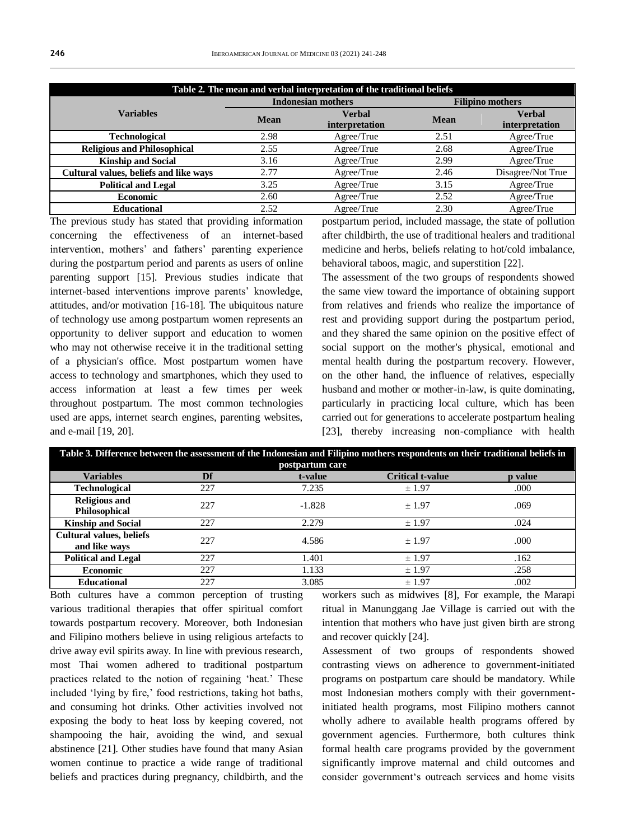| Table 2. The mean and verbal interpretation of the traditional beliefs |                           |                |                         |                   |  |  |  |
|------------------------------------------------------------------------|---------------------------|----------------|-------------------------|-------------------|--|--|--|
|                                                                        | <b>Indonesian mothers</b> |                | <b>Filipino mothers</b> |                   |  |  |  |
| <b>Variables</b>                                                       | Mean                      | <b>Verbal</b>  | <b>Mean</b>             | Verbal            |  |  |  |
|                                                                        |                           | interpretation |                         | interpretation    |  |  |  |
| <b>Technological</b>                                                   | 2.98                      | Agree/True     | 2.51                    | Agree/True        |  |  |  |
| <b>Religious and Philosophical</b>                                     | 2.55                      | Agree/True     | 2.68                    | Agree/True        |  |  |  |
| <b>Kinship and Social</b>                                              | 3.16                      | Agree/True     | 2.99                    | Agree/True        |  |  |  |
| Cultural values, beliefs and like ways                                 | 2.77                      | Agree/True     | 2.46                    | Disagree/Not True |  |  |  |
| <b>Political and Legal</b>                                             | 3.25                      | Agree/True     | 3.15                    | Agree/True        |  |  |  |
| <b>Economic</b>                                                        | 2.60                      | Agree/True     | 2.52                    | Agree/True        |  |  |  |
| <b>Educational</b>                                                     | 2.52                      | Agree/True     | 2.30                    | Agree/True        |  |  |  |

The previous study has stated that providing information concerning the effectiveness of an internet-based intervention, mothers' and fathers' parenting experience during the postpartum period and parents as users of online parenting support [15]. Previous studies indicate that internet-based interventions improve parents' knowledge, attitudes, and/or motivation [16-18]. The ubiquitous nature of technology use among postpartum women represents an opportunity to deliver support and education to women who may not otherwise receive it in the traditional setting of a physician's office. Most postpartum women have access to technology and smartphones, which they used to access information at least a few times per week throughout postpartum. The most common technologies used are apps, internet search engines, parenting websites, and e-mail [19, 20].

postpartum period, included massage, the state of pollution after childbirth, the use of traditional healers and traditional medicine and herbs, beliefs relating to hot/cold imbalance, behavioral taboos, magic, and superstition [22].

The assessment of the two groups of respondents showed the same view toward the importance of obtaining support from relatives and friends who realize the importance of rest and providing support during the postpartum period, and they shared the same opinion on the positive effect of social support on the mother's physical, emotional and mental health during the postpartum recovery. However, on the other hand, the influence of relatives, especially husband and mother or mother-in-law, is quite dominating. particularly in practicing local culture, which has been carried out for generations to accelerate postpartum healing [23], thereby increasing non-compliance with health

| Table 3. Difference between the assessment of the Indonesian and Filipino mothers respondents on their traditional beliefs in<br>postpartum care |     |          |                         |         |  |  |  |
|--------------------------------------------------------------------------------------------------------------------------------------------------|-----|----------|-------------------------|---------|--|--|--|
| <b>Variables</b>                                                                                                                                 | Df  | t-value  | <b>Critical t-value</b> | p value |  |  |  |
| Technological                                                                                                                                    | 227 | 7.235    | ± 1.97                  | .000    |  |  |  |
| <b>Religious and</b><br>Philosophical                                                                                                            | 227 | $-1.828$ | $+1.97$                 | .069    |  |  |  |
| <b>Kinship and Social</b>                                                                                                                        | 227 | 2.279    | ± 1.97                  | .024    |  |  |  |
| <b>Cultural values, beliefs</b><br>and like ways                                                                                                 | 227 | 4.586    | ± 1.97                  | .000    |  |  |  |
| <b>Political and Legal</b>                                                                                                                       | 227 | 1.401    | ± 1.97                  | .162    |  |  |  |
| <b>Economic</b>                                                                                                                                  | 227 | 1.133    | ± 1.97                  | .258    |  |  |  |
| <b>Educational</b>                                                                                                                               | 227 | 3.085    | ± 1.97                  | .002    |  |  |  |

Both cultures have a common perception of trusting various traditional therapies that offer spiritual comfort towards postpartum recovery. Moreover, both Indonesian and Filipino mothers believe in using religious artefacts to drive away evil spirits away. In line with previous research, most Thai women adhered to traditional postpartum practices related to the notion of regaining 'heat.' These included 'lying by fire,' food restrictions, taking hot baths, and consuming hot drinks. Other activities involved not exposing the body to heat loss by keeping covered, not shampooing the hair, avoiding the wind, and sexual abstinence [21]. Other studies have found that many Asian women continue to practice a wide range of traditional beliefs and practices during pregnancy, childbirth, and the workers such as midwives [8], For example, the Marapi ritual in Manunggang Jae Village is carried out with the intention that mothers who have just given birth are strong and recover quickly [24].

Assessment of two groups of respondents showed contrasting views on adherence to government-initiated programs on postpartum care should be mandatory. While most Indonesian mothers comply with their governmentinitiated health programs, most Filipino mothers cannot wholly adhere to available health programs offered by government agencies. Furthermore, both cultures think formal health care programs provided by the government significantly improve maternal and child outcomes and consider government's outreach services and home visits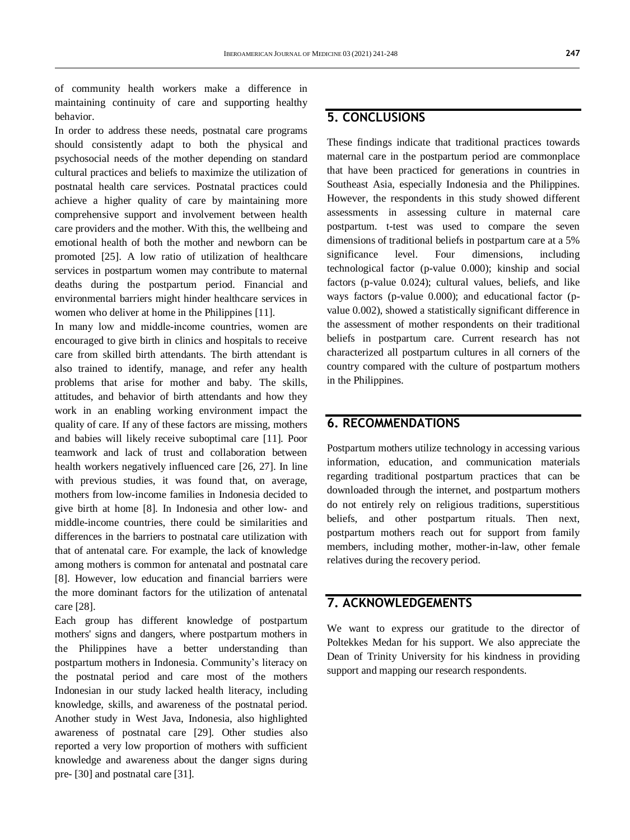of community health workers make a difference in maintaining continuity of care and supporting healthy behavior.

In order to address these needs, postnatal care programs should consistently adapt to both the physical and psychosocial needs of the mother depending on standard cultural practices and beliefs to maximize the utilization of postnatal health care services. Postnatal practices could achieve a higher quality of care by maintaining more comprehensive support and involvement between health care providers and the mother. With this, the wellbeing and emotional health of both the mother and newborn can be promoted [25]. A low ratio of utilization of healthcare services in postpartum women may contribute to maternal deaths during the postpartum period. Financial and environmental barriers might hinder healthcare services in women who deliver at home in the Philippines [11].

In many low and middle-income countries, women are encouraged to give birth in clinics and hospitals to receive care from skilled birth attendants. The birth attendant is also trained to identify, manage, and refer any health problems that arise for mother and baby. The skills, attitudes, and behavior of birth attendants and how they work in an enabling working environment impact the quality of care. If any of these factors are missing, mothers and babies will likely receive suboptimal care [11]. Poor teamwork and lack of trust and collaboration between health workers negatively influenced care [26, 27]. In line with previous studies, it was found that, on average, mothers from low-income families in Indonesia decided to give birth at home [8]. In Indonesia and other low- and middle-income countries, there could be similarities and differences in the barriers to postnatal care utilization with that of antenatal care. For example, the lack of knowledge among mothers is common for antenatal and postnatal care [8]. However, low education and financial barriers were the more dominant factors for the utilization of antenatal care [28].

Each group has different knowledge of postpartum mothers' signs and dangers, where postpartum mothers in the Philippines have a better understanding than postpartum mothers in Indonesia. Community's literacy on the postnatal period and care most of the mothers Indonesian in our study lacked health literacy, including knowledge, skills, and awareness of the postnatal period. Another study in West Java, Indonesia, also highlighted awareness of postnatal care [29]. Other studies also reported a very low proportion of mothers with sufficient knowledge and awareness about the danger signs during pre- [30] and postnatal care [31].

### **5. CONCLUSIONS**

These findings indicate that traditional practices towards maternal care in the postpartum period are commonplace that have been practiced for generations in countries in Southeast Asia, especially Indonesia and the Philippines. However, the respondents in this study showed different assessments in assessing culture in maternal care postpartum. t-test was used to compare the seven dimensions of traditional beliefs in postpartum care at a 5% significance level. Four dimensions, including technological factor (p-value 0.000); kinship and social factors (p-value 0.024); cultural values, beliefs, and like ways factors (p-value 0.000); and educational factor (pvalue 0.002), showed a statistically significant difference in the assessment of mother respondents on their traditional beliefs in postpartum care. Current research has not characterized all postpartum cultures in all corners of the country compared with the culture of postpartum mothers in the Philippines.

### **6. RECOMMENDATIONS**

Postpartum mothers utilize technology in accessing various information, education, and communication materials regarding traditional postpartum practices that can be downloaded through the internet, and postpartum mothers do not entirely rely on religious traditions, superstitious beliefs, and other postpartum rituals. Then next, postpartum mothers reach out for support from family members, including mother, mother-in-law, other female relatives during the recovery period.

# **7. ACKNOWLEDGEMENTS**

We want to express our gratitude to the director of Poltekkes Medan for his support. We also appreciate the Dean of Trinity University for his kindness in providing support and mapping our research respondents.